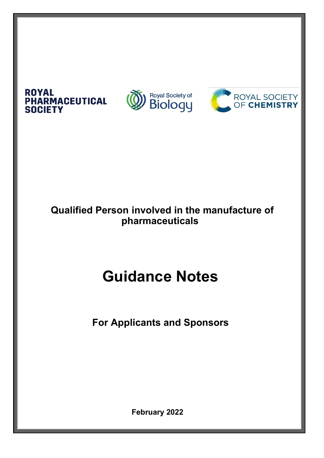

**ROYAL** 

## **Qualified Person involved in the manufacture of pharmaceuticals**

# **Guidance Notes**

**For Applicants and Sponsors**

**February 2022**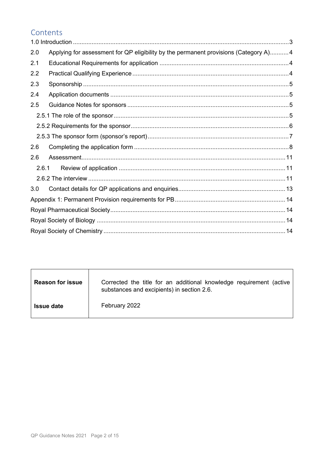### Contents

| 2.0   | Applying for assessment for QP eligibility by the permanent provisions (Category A)4 |  |  |
|-------|--------------------------------------------------------------------------------------|--|--|
| 2.1   |                                                                                      |  |  |
| 2.2   |                                                                                      |  |  |
| 2.3   |                                                                                      |  |  |
| 2.4   |                                                                                      |  |  |
| 2.5   |                                                                                      |  |  |
|       |                                                                                      |  |  |
|       |                                                                                      |  |  |
|       |                                                                                      |  |  |
| 2.6   |                                                                                      |  |  |
| 2.6   |                                                                                      |  |  |
| 2.6.1 |                                                                                      |  |  |
|       |                                                                                      |  |  |
| 3.0   |                                                                                      |  |  |
|       |                                                                                      |  |  |
|       |                                                                                      |  |  |
|       |                                                                                      |  |  |
|       |                                                                                      |  |  |

| <b>Reason for issue</b> | Corrected the title for an additional knowledge requirement (active<br>substances and excipients) in section 2.6. |
|-------------------------|-------------------------------------------------------------------------------------------------------------------|
| <b>Issue date</b>       | February 2022                                                                                                     |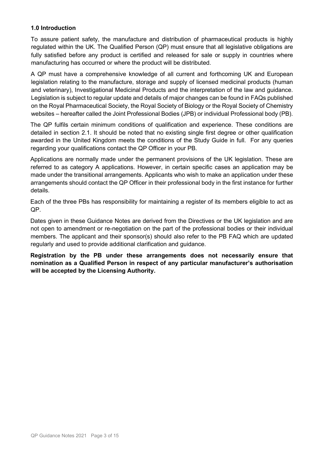#### <span id="page-2-0"></span>**1.0 Introduction**

To assure patient safety, the manufacture and distribution of pharmaceutical products is highly regulated within the UK. The Qualified Person (QP) must ensure that all legislative obligations are fully satisfied before any product is certified and released for sale or supply in countries where manufacturing has occurred or where the product will be distributed.

A QP must have a comprehensive knowledge of all current and forthcoming UK and European legislation relating to the manufacture, storage and supply of licensed medicinal products (human and veterinary), Investigational Medicinal Products and the interpretation of the law and guidance. Legislation is subject to regular update and details of major changes can be found in FAQs published on the Royal Pharmaceutical Society, the Royal Society of Biology or the Royal Society of Chemistry websites – hereafter called the Joint Professional Bodies (JPB) or individual Professional body (PB).

The QP fulfils certain minimum conditions of qualification and experience. These conditions are detailed in section 2.1. It should be noted that no existing single first degree or other qualification awarded in the United Kingdom meets the conditions of the Study Guide in full. For any queries regarding your qualifications contact the QP Officer in your PB.

Applications are normally made under the permanent provisions of the UK legislation. These are referred to as category A applications. However, in certain specific cases an application may be made under the transitional arrangements. Applicants who wish to make an application under these arrangements should contact the QP Officer in their professional body in the first instance for further details.

Each of the three PBs has responsibility for maintaining a register of its members eligible to act as QP.

Dates given in these Guidance Notes are derived from the Directives or the UK legislation and are not open to amendment or re-negotiation on the part of the professional bodies or their individual members. The applicant and their sponsor(s) should also refer to the PB FAQ which are updated regularly and used to provide additional clarification and guidance.

**Registration by the PB under these arrangements does not necessarily ensure that nomination as a Qualified Person in respect of any particular manufacturer's authorisation will be accepted by the Licensing Authority.**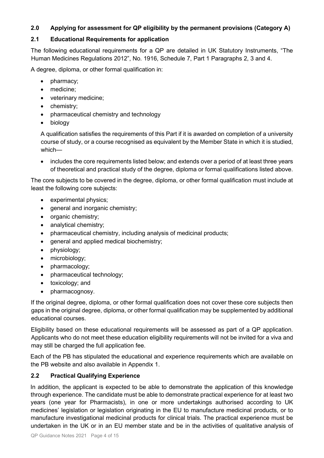#### <span id="page-3-0"></span>**2.0 Applying for assessment for QP eligibility by the permanent provisions (Category A)**

#### <span id="page-3-1"></span>**2.1 Educational Requirements for application**

The following educational requirements for a QP are detailed in UK Statutory Instruments, "The Human Medicines Regulations 2012", No. 1916, Schedule 7, Part 1 Paragraphs 2, 3 and 4.

A degree, diploma, or other formal qualification in:

- pharmacy;
- medicine;
- veterinary medicine;
- chemistry;
- pharmaceutical chemistry and technology
- biology

A qualification satisfies the requirements of this Part if it is awarded on completion of a university course of study, or a course recognised as equivalent by the Member State in which it is studied, which—

• includes the core requirements listed below; and extends over a period of at least three years of theoretical and practical study of the degree, diploma or formal qualifications listed above.

The core subjects to be covered in the degree, diploma, or other formal qualification must include at least the following core subjects:

- experimental physics;
- general and inorganic chemistry;
- organic chemistry;
- analytical chemistry;
- pharmaceutical chemistry, including analysis of medicinal products;
- general and applied medical biochemistry;
- physiology;
- microbiology;
- pharmacology;
- pharmaceutical technology;
- toxicology; and
- pharmacognosy.

If the original degree, diploma, or other formal qualification does not cover these core subjects then gaps in the original degree, diploma, or other formal qualification may be supplemented by additional educational courses.

Eligibility based on these educational requirements will be assessed as part of a QP application. Applicants who do not meet these education eligibility requirements will not be invited for a viva and may still be charged the full application fee.

Each of the PB has stipulated the educational and experience requirements which are available on the PB website and also available in Appendix 1.

#### <span id="page-3-2"></span>**2.2 Practical Qualifying Experience**

In addition, the applicant is expected to be able to demonstrate the application of this knowledge through experience. The candidate must be able to demonstrate practical experience for at least two years (one year for Pharmacists), in one or more undertakings authorised according to UK medicines' legislation or legislation originating in the EU to manufacture medicinal products, or to manufacture investigational medicinal products for clinical trials. The practical experience must be undertaken in the UK or in an EU member state and be in the activities of qualitative analysis of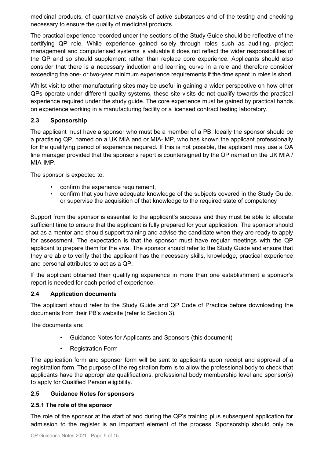medicinal products, of quantitative analysis of active substances and of the testing and checking necessary to ensure the quality of medicinal products.

The practical experience recorded under the sections of the Study Guide should be reflective of the certifying QP role. While experience gained solely through roles such as auditing, project management and computerised systems is valuable it does not reflect the wider responsibilities of the QP and so should supplement rather than replace core experience. Applicants should also consider that there is a necessary induction and learning curve in a role and therefore consider exceeding the one- or two-year minimum experience requirements if the time spent in roles is short.

Whilst visit to other manufacturing sites may be useful in gaining a wider perspective on how other QPs operate under different quality systems, these site visits do not qualify towards the practical experience required under the study guide. The core experience must be gained by practical hands on experience working in a manufacturing facility or a licensed contract testing laboratory.

#### <span id="page-4-0"></span>**2.3 Sponsorship**

The applicant must have a sponsor who must be a member of a PB. Ideally the sponsor should be a practising QP, named on a UK MIA and or MIA-IMP, who has known the applicant professionally for the qualifying period of experience required. If this is not possible, the applicant may use a QA line manager provided that the sponsor's report is countersigned by the QP named on the UK MIA / MIA-IMP.

The sponsor is expected to:

- confirm the experience requirement,
- confirm that you have adequate knowledge of the subjects covered in the Study Guide, or supervise the acquisition of that knowledge to the required state of competency

Support from the sponsor is essential to the applicant's success and they must be able to allocate sufficient time to ensure that the applicant is fully prepared for your application. The sponsor should act as a mentor and should support training and advise the candidate when they are ready to apply for assessment. The expectation is that the sponsor must have regular meetings with the QP applicant to prepare them for the viva. The sponsor should refer to the Study Guide and ensure that they are able to verify that the applicant has the necessary skills, knowledge, practical experience and personal attributes to act as a QP.

If the applicant obtained their qualifying experience in more than one establishment a sponsor's report is needed for each period of experience.

#### <span id="page-4-1"></span>**2.4 Application documents**

The applicant should refer to the Study Guide and QP Code of Practice before downloading the documents from their PB's website (refer to Section 3).

The documents are:

- Guidance Notes for Applicants and Sponsors (this document)
- Registration Form

The application form and sponsor form will be sent to applicants upon receipt and approval of a registration form. The purpose of the registration form is to allow the professional body to check that applicants have the appropriate qualifications, professional body membership level and sponsor(s) to apply for Qualified Person eligibility.

#### <span id="page-4-2"></span>**2.5 Guidance Notes for sponsors**

#### <span id="page-4-3"></span>**2.5.1 The role of the sponsor**

The role of the sponsor at the start of and during the QP's training plus subsequent application for admission to the register is an important element of the process. Sponsorship should only be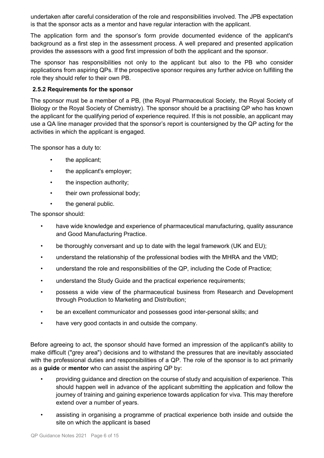undertaken after careful consideration of the role and responsibilities involved. The JPB expectation is that the sponsor acts as a mentor and have regular interaction with the applicant.

The application form and the sponsor's form provide documented evidence of the applicant's background as a first step in the assessment process. A well prepared and presented application provides the assessors with a good first impression of both the applicant and the sponsor.

The sponsor has responsibilities not only to the applicant but also to the PB who consider applications from aspiring QPs. If the prospective sponsor requires any further advice on fulfilling the role they should refer to their own PB.

#### <span id="page-5-0"></span>**2.5.2 Requirements for the sponsor**

The sponsor must be a member of a PB, (the Royal Pharmaceutical Society, the Royal Society of Biology or the Royal Society of Chemistry). The sponsor should be a practising QP who has known the applicant for the qualifying period of experience required. If this is not possible, an applicant may use a QA line manager provided that the sponsor's report is countersigned by the QP acting for the activities in which the applicant is engaged.

The sponsor has a duty to:

- the applicant;
- the applicant's employer;
- the inspection authority;
- their own professional body;
- the general public.

The sponsor should:

- have wide knowledge and experience of pharmaceutical manufacturing, quality assurance and Good Manufacturing Practice.
- be thoroughly conversant and up to date with the legal framework (UK and EU);
- understand the relationship of the professional bodies with the MHRA and the VMD;
- understand the role and responsibilities of the QP, including the Code of Practice;
- understand the Study Guide and the practical experience requirements;
- possess a wide view of the pharmaceutical business from Research and Development through Production to Marketing and Distribution;
- be an excellent communicator and possesses good inter-personal skills; and
- have very good contacts in and outside the company.

Before agreeing to act, the sponsor should have formed an impression of the applicant's ability to make difficult ("grey area") decisions and to withstand the pressures that are inevitably associated with the professional duties and responsibilities of a QP. The role of the sponsor is to act primarily as a **guide** or **mentor** who can assist the aspiring QP by:

- providing guidance and direction on the course of study and acquisition of experience. This should happen well in advance of the applicant submitting the application and follow the journey of training and gaining experience towards application for viva. This may therefore extend over a number of years.
- assisting in organising a programme of practical experience both inside and outside the site on which the applicant is based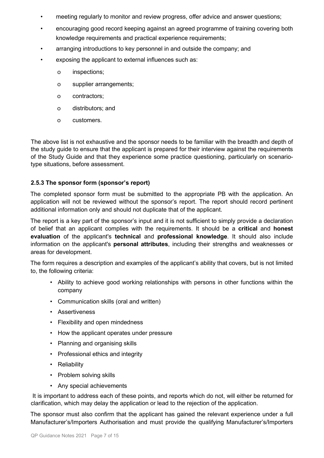- meeting regularly to monitor and review progress, offer advice and answer questions;
- encouraging good record keeping against an agreed programme of training covering both knowledge requirements and practical experience requirements;
- arranging introductions to key personnel in and outside the company; and
- exposing the applicant to external influences such as:
	- o inspections;
	- o supplier arrangements;
	- o contractors;
	- o distributors; and
	- o customers.

The above list is not exhaustive and the sponsor needs to be familiar with the breadth and depth of the study guide to ensure that the applicant is prepared for their interview against the requirements of the Study Guide and that they experience some practice questioning, particularly on scenariotype situations, before assessment.

#### <span id="page-6-0"></span>**2.5.3 The sponsor form (sponsor's report)**

The completed sponsor form must be submitted to the appropriate PB with the application. An application will not be reviewed without the sponsor's report. The report should record pertinent additional information only and should not duplicate that of the applicant.

The report is a key part of the sponsor's input and it is not sufficient to simply provide a declaration of belief that an applicant complies with the requirements. It should be a **critical** and **honest evaluation** of the applicant's **technical** and **professional knowledge**. It should also include information on the applicant's **personal attributes**, including their strengths and weaknesses or areas for development.

The form requires a description and examples of the applicant's ability that covers, but is not limited to, the following criteria:

- Ability to achieve good working relationships with persons in other functions within the company
- Communication skills (oral and written)
- Assertiveness
- Flexibility and open mindedness
- How the applicant operates under pressure
- Planning and organising skills
- Professional ethics and integrity
- Reliability
- Problem solving skills
- Any special achievements

It is important to address each of these points, and reports which do not, will either be returned for clarification, which may delay the application or lead to the rejection of the application.

The sponsor must also confirm that the applicant has gained the relevant experience under a full Manufacturer's/Importers Authorisation and must provide the qualifying Manufacturer's/Importers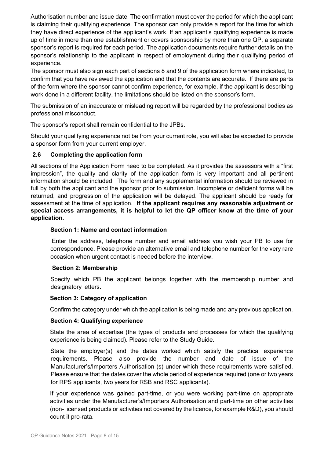Authorisation number and issue date. The confirmation must cover the period for which the applicant is claiming their qualifying experience. The sponsor can only provide a report for the time for which they have direct experience of the applicant's work. If an applicant's qualifying experience is made up of time in more than one establishment or covers sponsorship by more than one QP, a separate sponsor's report is required for each period. The application documents require further details on the sponsor's relationship to the applicant in respect of employment during their qualifying period of experience.

The sponsor must also sign each part of sections 8 and 9 of the application form where indicated, to confirm that you have reviewed the application and that the contents are accurate. If there are parts of the form where the sponsor cannot confirm experience, for example, if the applicant is describing work done in a different facility, the limitations should be listed on the sponsor's form.

The submission of an inaccurate or misleading report will be regarded by the professional bodies as professional misconduct.

The sponsor's report shall remain confidential to the JPBs.

Should your qualifying experience not be from your current role, you will also be expected to provide a sponsor form from your current employer.

#### <span id="page-7-0"></span>**2.6 Completing the application form**

All sections of the Application Form need to be completed. As it provides the assessors with a "first impression", the quality and clarity of the application form is very important and all pertinent information should be included. The form and any supplemental information should be reviewed in full by both the applicant and the sponsor prior to submission. Incomplete or deficient forms will be returned, and progression of the application will be delayed. The applicant should be ready for assessment at the time of application. **If the applicant requires any reasonable adjustment or special access arrangements, it is helpful to let the QP officer know at the time of your application.**

#### **Section 1: Name and contact information**

Enter the address, telephone number and email address you wish your PB to use for correspondence. Please provide an alternative email and telephone number for the very rare occasion when urgent contact is needed before the interview.

#### **Section 2: Membership**

Specify which PB the applicant belongs together with the membership number and designatory letters.

#### **Section 3: Category of application**

Confirm the category under which the application is being made and any previous application.

#### **Section 4: Qualifying experience**

State the area of expertise (the types of products and processes for which the qualifying experience is being claimed). Please refer to the Study Guide.

State the employer(s) and the dates worked which satisfy the practical experience requirements. Please also provide the number and date of issue of the Manufacturer's/Importers Authorisation (s) under which these requirements were satisfied. Please ensure that the dates cover the whole period of experience required (one or two years for RPS applicants, two years for RSB and RSC applicants).

If your experience was gained part-time, or you were working part-time on appropriate activities under the Manufacturer's/Importers Authorisation and part-time on other activities (non- licensed products or activities not covered by the licence, for example R&D), you should count it pro-rata.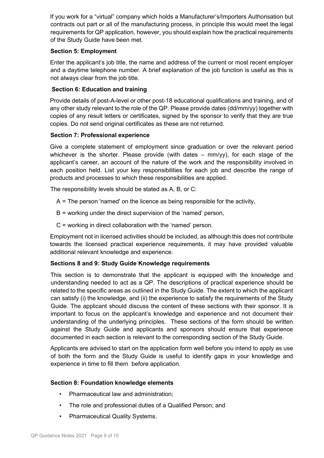If you work for a "virtual" company which holds a Manufacturer's/Importers Authorisation but contracts out part or all of the manufacturing process, in principle this would meet the legal requirements for QP application, however, you should explain how the practical requirements of the Study Guide have been met.

#### **Section 5: Employment**

Enter the applicant's job title, the name and address of the current or most recent employer and a daytime telephone number. A brief explanation of the job function is useful as this is not always clear from the job title.

#### **Section 6: Education and training**

Provide details of post-A-level or other post-18 educational qualifications and training, and of any other study relevant to the role of the QP. Please provide dates (dd/mm/yy) together with copies of any result letters or certificates, signed by the sponsor to verify that they are true copies. Do not send original certificates as these are not returned.

#### **Section 7: Professional experience**

Give a complete statement of employment since graduation or over the relevant period whichever is the shorter. Please provide (with dates  $-$  mm/yy), for each stage of the applicant's career, an account of the nature of the work and the responsibility involved in each position held. List your key responsibilities for each job and describe the range of products and processes to which these responsibilities are applied.

The responsibility levels should be stated as A, B, or C:

- A = The person 'named' on the licence as being responsible for the activity,
- B = working under the direct supervision of the 'named' person,
- C = working in direct collaboration with the 'named' person.

Employment not in licensed activities should be included, as although this does not contribute towards the licensed practical experience requirements, it may have provided valuable additional relevant knowledge and experience.

#### **Sections 8 and 9: Study Guide Knowledge requirements**

This section is to demonstrate that the applicant is equipped with the knowledge and understanding needed to act as a QP. The descriptions of practical experience should be related to the specific areas as outlined in the Study Guide. The extent to which the applicant can satisfy (i) the knowledge, and (ii) the experience to satisfy the requirements of the Study Guide. The applicant should discuss the content of these sections with their sponsor. It is important to focus on the applicant's knowledge and experience and not document their understanding of the underlying principles. These sections of the form should be written against the Study Guide and applicants and sponsors should ensure that experience documented in each section is relevant to the corresponding section of the Study Guide.

Applicants are advised to start on the application form well before you intend to apply as use of both the form and the Study Guide is useful to identify gaps in your knowledge and experience in time to fill them before application.

#### **Section 8: Foundation knowledge elements**

- Pharmaceutical law and administration;
- The role and professional duties of a Qualified Person; and
- Pharmaceutical Quality Systems.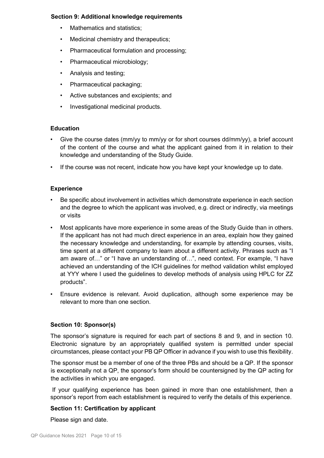#### **Section 9: Additional knowledge requirements**

- Mathematics and statistics:
- Medicinal chemistry and therapeutics:
- Pharmaceutical formulation and processing;
- Pharmaceutical microbiology;
- Analysis and testing;
- Pharmaceutical packaging;
- Active substances and excipients; and
- Investigational medicinal products.

#### **Education**

- Give the course dates (mm/yy to mm/yy or for short courses dd/mm/yy), a brief account of the content of the course and what the applicant gained from it in relation to their knowledge and understanding of the Study Guide.
- If the course was not recent, indicate how you have kept your knowledge up to date.

#### **Experience**

- Be specific about involvement in activities which demonstrate experience in each section and the degree to which the applicant was involved, e.g. direct or indirectly, via meetings or visits
- Most applicants have more experience in some areas of the Study Guide than in others. If the applicant has not had much direct experience in an area, explain how they gained the necessary knowledge and understanding, for example by attending courses, visits, time spent at a different company to learn about a different activity. Phrases such as "I am aware of…" or "I have an understanding of…", need context. For example, "I have achieved an understanding of the ICH guidelines for method validation whilst employed at YYY where I used the guidelines to develop methods of analysis using HPLC for ZZ products".
- Ensure evidence is relevant. Avoid duplication, although some experience may be relevant to more than one section.

#### **Section 10: Sponsor(s)**

The sponsor's signature is required for each part of sections 8 and 9, and in section 10. Electronic signature by an appropriately qualified system is permitted under special circumstances, please contact your PB QP Officer in advance if you wish to use this flexibility.

The sponsor must be a member of one of the three PBs and should be a QP. If the sponsor is exceptionally not a QP, the sponsor's form should be countersigned by the QP acting for the activities in which you are engaged.

If your qualifying experience has been gained in more than one establishment, then a sponsor's report from each establishment is required to verify the details of this experience.

#### **Section 11: Certification by applicant**

Please sign and date.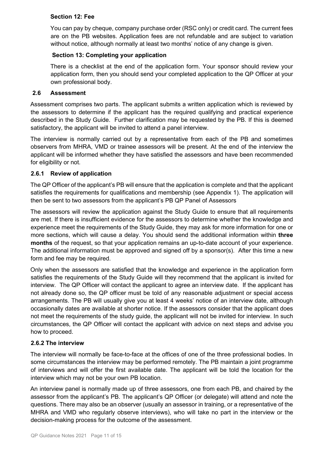#### **Section 12: Fee**

You can pay by cheque, company purchase order (RSC only) or credit card. The current fees are on the PB websites. Application fees are not refundable and are subject to variation without notice, although normally at least two months' notice of any change is given.

#### **Section 13: Completing your application**

There is a checklist at the end of the application form. Your sponsor should review your application form, then you should send your completed application to the QP Officer at your own professional body.

#### <span id="page-10-0"></span>**2.6 Assessment**

Assessment comprises two parts. The applicant submits a written application which is reviewed by the assessors to determine if the applicant has the required qualifying and practical experience described in the Study Guide. Further clarification may be requested by the PB. If this is deemed satisfactory, the applicant will be invited to attend a panel interview.

The interview is normally carried out by a representative from each of the PB and sometimes observers from MHRA, VMD or trainee assessors will be present. At the end of the interview the applicant will be informed whether they have satisfied the assessors and have been recommended for eligibility or not.

#### <span id="page-10-1"></span>**2.6.1 Review of application**

The QP Officer of the applicant's PB will ensure that the application is complete and that the applicant satisfies the requirements for qualifications and membership (see Appendix 1). The application will then be sent to two assessors from the applicant's PB QP Panel of Assessors

The assessors will review the application against the Study Guide to ensure that all requirements are met. If there is insufficient evidence for the assessors to determine whether the knowledge and experience meet the requirements of the Study Guide, they may ask for more information for one or more sections, which will cause a delay. You should send the additional information within **three months** of the request, so that your application remains an up-to-date account of your experience. The additional information must be approved and signed off by a sponsor(s). After this time a new form and fee may be required.

Only when the assessors are satisfied that the knowledge and experience in the application form satisfies the requirements of the Study Guide will they recommend that the applicant is invited for interview. The QP Officer will contact the applicant to agree an interview date. If the applicant has not already done so, the QP officer must be told of any reasonable adjustment or special access arrangements. The PB will usually give you at least 4 weeks' notice of an interview date, although occasionally dates are available at shorter notice. If the assessors consider that the applicant does not meet the requirements of the study guide, the applicant will not be invited for interview. In such circumstances, the QP Officer will contact the applicant with advice on next steps and advise you how to proceed.

#### <span id="page-10-2"></span>**2.6.2 The interview**

The interview will normally be face-to-face at the offices of one of the three professional bodies. In some circumstances the interview may be performed remotely. The PB maintain a joint programme of interviews and will offer the first available date. The applicant will be told the location for the interview which may not be your own PB location.

An interview panel is normally made up of three assessors, one from each PB, and chaired by the assessor from the applicant's PB. The applicant's QP Officer (or delegate) will attend and note the questions. There may also be an observer (usually an assessor in training, or a representative of the MHRA and VMD who regularly observe interviews), who will take no part in the interview or the decision-making process for the outcome of the assessment.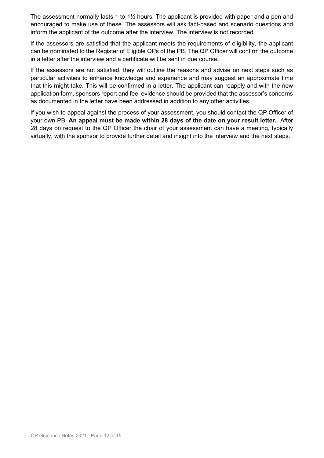The assessment normally lasts 1 to  $1\frac{1}{2}$  hours. The applicant is provided with paper and a pen and encouraged to make use of these. The assessors will ask fact-based and scenario questions and inform the applicant of the outcome after the interview. The interview is not recorded.

If the assessors are satisfied that the applicant meets the requirements of eligibility, the applicant can be nominated to the Register of Eligible QPs of the PB. The QP Officer will confirm the outcome in a letter after the interview and a certificate will be sent in due course.

If the assessors are not satisfied, they will outline the reasons and advise on next steps such as particular activities to enhance knowledge and experience and may suggest an approximate time that this might take. This will be confirmed in a letter. The applicant can reapply and with the new application form, sponsors report and fee, evidence should be provided that the assessor's concerns as documented in the letter have been addressed in addition to any other activities.

If you wish to appeal against the process of your assessment, you should contact the QP Officer of your own PB. **An appeal must be made within 28 days of the date on your result letter.** After 28 days on request to the QP Officer the chair of your assessment can have a meeting, typically virtually, with the sponsor to provide further detail and insight into the interview and the next steps.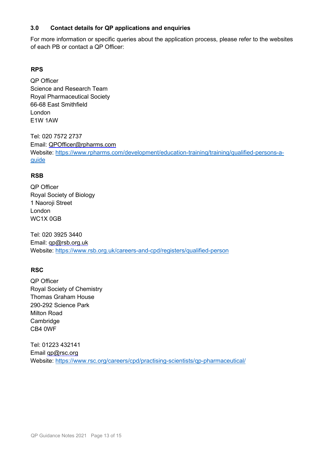#### <span id="page-12-0"></span>**3.0 Contact details for QP applications and enquiries**

For more information or specific queries about the application process, please refer to the websites of each PB or contact a QP Officer:

#### **RPS**

QP Officer Science and Research Team Royal Pharmaceutical Society 66-68 East Smithfield London E1W 1AW

Tel: 020 7572 2737 Email: QPOfficer@rpharms.com Website: [https://www.rpharms.com/development/education-training/training/qualified-persons-a](https://www.rpharms.com/development/education-training/training/qualified-persons-a-guide)[guide](https://www.rpharms.com/development/education-training/training/qualified-persons-a-guide)

#### **RSB**

QP Officer Royal Society of Biology 1 Naoroji Street London WC1X 0GB

Tel: 020 3925 3440 Email: qp@rsb.org.uk Website:<https://www.rsb.org.uk/careers-and-cpd/registers/qualified-person>

#### **RSC**

QP Officer Royal Society of Chemistry Thomas Graham House 290-292 Science Park Milton Road Cambridge CB4 0WF

Tel: 01223 432141 Email qp@rsc.org Website: <https://www.rsc.org/careers/cpd/practising-scientists/qp-pharmaceutical/>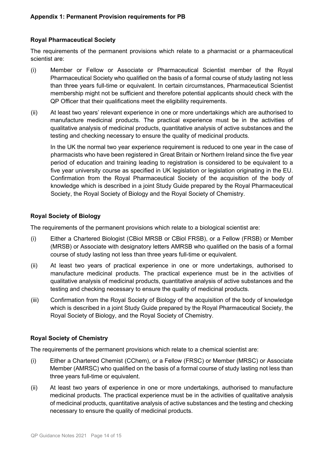#### <span id="page-13-1"></span><span id="page-13-0"></span>**Royal Pharmaceutical Society**

The requirements of the permanent provisions which relate to a pharmacist or a pharmaceutical scientist are:

- (i) Member or Fellow or Associate or Pharmaceutical Scientist member of the Royal Pharmaceutical Society who qualified on the basis of a formal course of study lasting not less than three years full-time or equivalent. In certain circumstances, Pharmaceutical Scientist membership might not be sufficient and therefore potential applicants should check with the QP Officer that their qualifications meet the eligibility requirements.
- (ii) At least two years' relevant experience in one or more undertakings which are authorised to manufacture medicinal products. The practical experience must be in the activities of qualitative analysis of medicinal products, quantitative analysis of active substances and the testing and checking necessary to ensure the quality of medicinal products.

In the UK the normal two year experience requirement is reduced to one year in the case of pharmacists who have been registered in Great Britain or Northern Ireland since the five year period of education and training leading to registration is considered to be equivalent to a five year university course as specified in UK legislation or legislation originating in the EU. Confirmation from the Royal Pharmaceutical Society of the acquisition of the body of knowledge which is described in a joint Study Guide prepared by the Royal Pharmaceutical Society, the Royal Society of Biology and the Royal Society of Chemistry.

#### <span id="page-13-2"></span>**Royal Society of Biology**

The requirements of the permanent provisions which relate to a biological scientist are:

- (i) Either a Chartered Biologist (CBiol MRSB or CBiol FRSB), or a Fellow (FRSB) or Member (MRSB) or Associate with designatory letters AMRSB who qualified on the basis of a formal course of study lasting not less than three years full-time or equivalent.
- (ii) At least two years of practical experience in one or more undertakings, authorised to manufacture medicinal products. The practical experience must be in the activities of qualitative analysis of medicinal products, quantitative analysis of active substances and the testing and checking necessary to ensure the quality of medicinal products.
- (iii) Confirmation from the Royal Society of Biology of the acquisition of the body of knowledge which is described in a joint Study Guide prepared by the Royal Pharmaceutical Society, the Royal Society of Biology, and the Royal Society of Chemistry.

#### <span id="page-13-3"></span>**Royal Society of Chemistry**

The requirements of the permanent provisions which relate to a chemical scientist are:

- (i) Either a Chartered Chemist (CChem), or a Fellow (FRSC) or Member (MRSC) or Associate Member (AMRSC) who qualified on the basis of a formal course of study lasting not less than three years full-time or equivalent.
- (ii) At least two years of experience in one or more undertakings, authorised to manufacture medicinal products. The practical experience must be in the activities of qualitative analysis of medicinal products, quantitative analysis of active substances and the testing and checking necessary to ensure the quality of medicinal products.